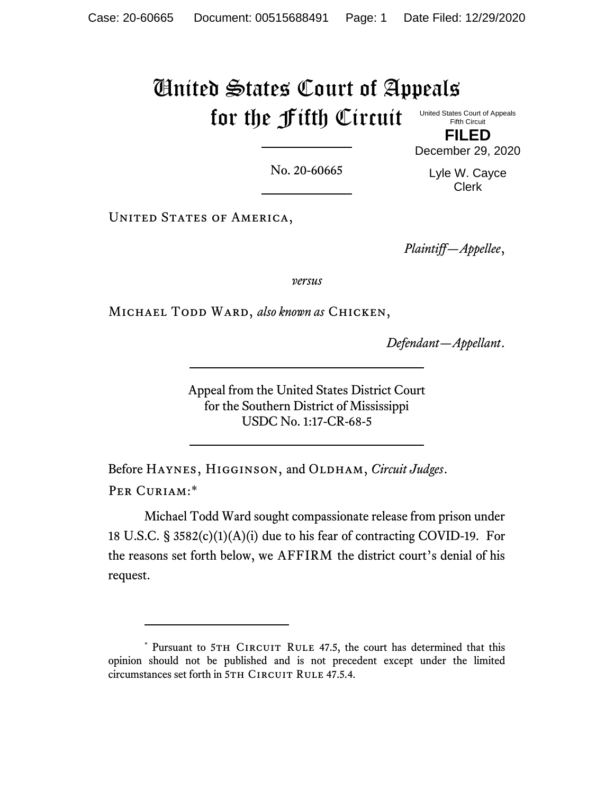## United States Court of Appeals for the Fifth Circuit United States Court of Appeals

Fifth Circuit **FILED**

No. 20-60665

December 29, 2020 Lyle W. Cayce Clerk

UNITED STATES OF AMERICA,

*Plaintiff—Appellee*,

*versus*

Michael Todd Ward, *also known as* Chicken,

*Defendant—Appellant*.

Appeal from the United States District Court for the Southern District of Mississippi USDC No. 1:17-CR-68-5

Before HAYNES, HIGGINSON, and OLDHAM, *Circuit Judges*. PER CURIAM:\*

Michael Todd Ward sought compassionate release from prison under 18 U.S.C. § 3582(c)(1)(A)(i) due to his fear of contracting COVID-19. For the reasons set forth below, we AFFIRM the district court's denial of his request.

<sup>\*</sup> Pursuant to 5TH CIRCUIT RULE 47.5, the court has determined that this opinion should not be published and is not precedent except under the limited circumstances set forth in 5TH CIRCUIT RULE 47.5.4.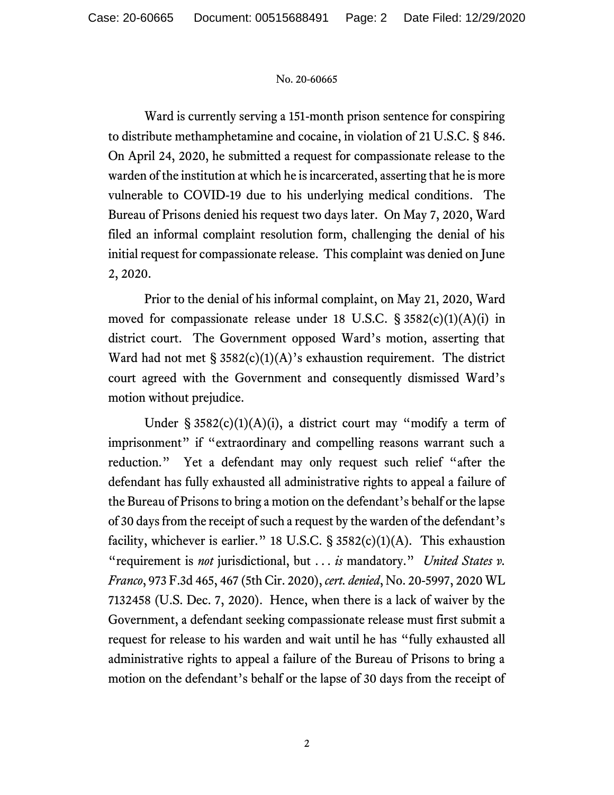## No. 20-60665

Ward is currently serving a 151-month prison sentence for conspiring to distribute methamphetamine and cocaine, in violation of 21 U.S.C. § 846. On April 24, 2020, he submitted a request for compassionate release to the warden of the institution at which he is incarcerated, asserting that he is more vulnerable to COVID-19 due to his underlying medical conditions. The Bureau of Prisons denied his request two days later. On May 7, 2020, Ward filed an informal complaint resolution form, challenging the denial of his initial request for compassionate release. This complaint was denied on June 2, 2020.

Prior to the denial of his informal complaint, on May 21, 2020, Ward moved for compassionate release under 18 U.S.C. § 3582(c)(1)(A)(i) in district court. The Government opposed Ward's motion, asserting that Ward had not met  $\S 3582(c)(1)(A)$ 's exhaustion requirement. The district court agreed with the Government and consequently dismissed Ward's motion without prejudice.

Under §  $3582(c)(1)(A)(i)$ , a district court may "modify a term of imprisonment" if "extraordinary and compelling reasons warrant such a reduction." Yet a defendant may only request such relief "after the defendant has fully exhausted all administrative rights to appeal a failure of the Bureau of Prisons to bring a motion on the defendant's behalf or the lapse of 30 days from the receipt of such a request by the warden of the defendant's facility, whichever is earlier." 18 U.S.C.  $\S$  3582(c)(1)(A). This exhaustion "requirement is *not* jurisdictional, but . . . *is* mandatory." *United States v. Franco*, 973 F.3d 465, 467 (5th Cir. 2020), *cert. denied*, No. 20-5997, 2020 WL 7132458 (U.S. Dec. 7, 2020). Hence, when there is a lack of waiver by the Government, a defendant seeking compassionate release must first submit a request for release to his warden and wait until he has "fully exhausted all administrative rights to appeal a failure of the Bureau of Prisons to bring a motion on the defendant's behalf or the lapse of 30 days from the receipt of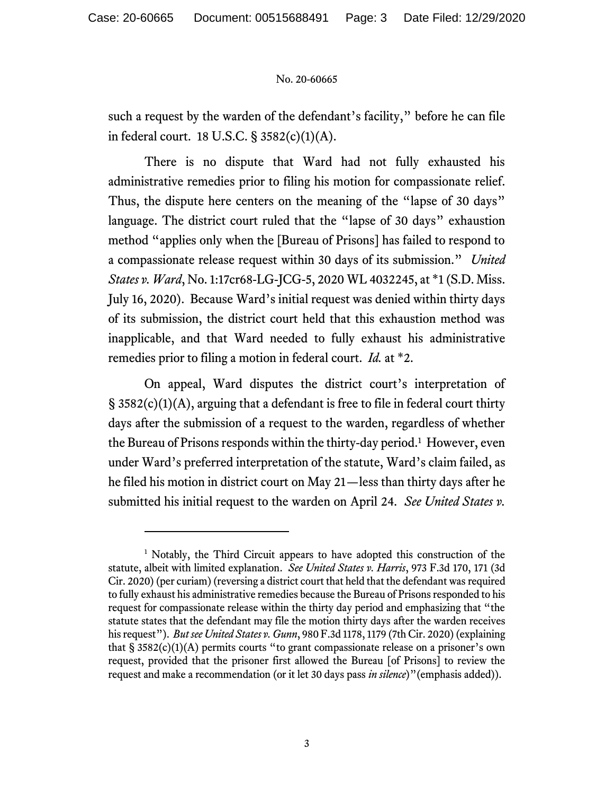## No. 20-60665

such a request by the warden of the defendant's facility," before he can file in federal court. 18 U.S.C. § 3582(c)(1)(A).

There is no dispute that Ward had not fully exhausted his administrative remedies prior to filing his motion for compassionate relief. Thus, the dispute here centers on the meaning of the "lapse of 30 days" language. The district court ruled that the "lapse of 30 days" exhaustion method "applies only when the [Bureau of Prisons] has failed to respond to a compassionate release request within 30 days of its submission." *United States v. Ward*, No. 1:17cr68-LG-JCG-5, 2020 WL 4032245, at \*1 (S.D. Miss. July 16, 2020). Because Ward's initial request was denied within thirty days of its submission, the district court held that this exhaustion method was inapplicable, and that Ward needed to fully exhaust his administrative remedies prior to filing a motion in federal court. *Id.* at \*2.

On appeal, Ward disputes the district court's interpretation of § 3582(c)(1)(A), arguing that a defendant is free to file in federal court thirty days after the submission of a request to the warden, regardless of whether the Bureau of Prisons responds within the thirty-day period.<sup>1</sup> However, even under Ward's preferred interpretation of the statute, Ward's claim failed, as he filed his motion in district court on May 21—less than thirty days after he submitted his initial request to the warden on April 24. *See United States v.* 

<sup>&</sup>lt;sup>1</sup> Notably, the Third Circuit appears to have adopted this construction of the statute, albeit with limited explanation. *See United States v. Harris*, 973 F.3d 170, 171 (3d Cir. 2020) (per curiam) (reversing a district court that held that the defendant was required to fully exhaust his administrative remedies because the Bureau of Prisons responded to his request for compassionate release within the thirty day period and emphasizing that "the statute states that the defendant may file the motion thirty days after the warden receives his request"). *But see United States v. Gunn*, 980 F.3d 1178, 1179 (7th Cir. 2020) (explaining that  $\S 3582(c)(1)(A)$  permits courts "to grant compassionate release on a prisoner's own request, provided that the prisoner first allowed the Bureau [of Prisons] to review the request and make a recommendation (or it let 30 days pass *in silence*)"(emphasis added)).